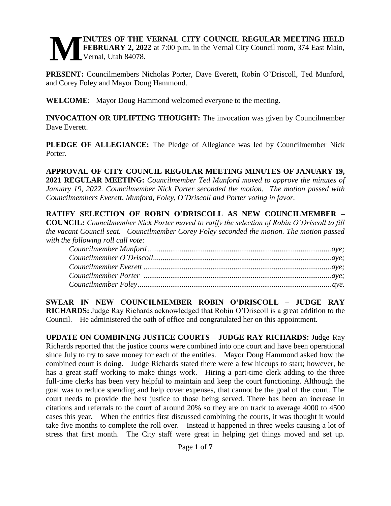#### **INUTES OF THE VERNAL CITY COUNCIL REGULAR MEETING HELD FEBRUARY 2, 2022** at 7:00 p.m. in the Vernal City Council room, 374 East Main, Vernal, Utah 84078. **M**

**PRESENT:** Councilmembers Nicholas Porter, Dave Everett, Robin O'Driscoll, Ted Munford, and Corey Foley and Mayor Doug Hammond.

**WELCOME**: Mayor Doug Hammond welcomed everyone to the meeting.

**INVOCATION OR UPLIFTING THOUGHT:** The invocation was given by Councilmember Dave Everett.

**PLEDGE OF ALLEGIANCE:** The Pledge of Allegiance was led by Councilmember Nick Porter.

**APPROVAL OF CITY COUNCIL REGULAR MEETING MINUTES OF JANUARY 19, 2021 REGULAR MEETING:** *Councilmember Ted Munford moved to approve the minutes of January 19, 2022. Councilmember Nick Porter seconded the motion. The motion passed with Councilmembers Everett, Munford, Foley, O'Driscoll and Porter voting in favor.* 

**RATIFY SELECTION OF ROBIN O'DRISCOLL AS NEW COUNCILMEMBER – COUNCIL:** *Councilmember Nick Porter moved to ratify the selection of Robin O'Driscoll to fill the vacant Council seat. Councilmember Corey Foley seconded the motion. The motion passed with the following roll call vote:*

**SWEAR IN NEW COUNCILMEMBER ROBIN O'DRISCOLL – JUDGE RAY RICHARDS:** Judge Ray Richards acknowledged that Robin O'Driscoll is a great addition to the Council. He administered the oath of office and congratulated her on this appointment.

**UPDATE ON COMBINING JUSTICE COURTS – JUDGE RAY RICHARDS:** Judge Ray Richards reported that the justice courts were combined into one court and have been operational since July to try to save money for each of the entities. Mayor Doug Hammond asked how the combined court is doing. Judge Richards stated there were a few hiccups to start; however, he has a great staff working to make things work. Hiring a part-time clerk adding to the three full-time clerks has been very helpful to maintain and keep the court functioning. Although the goal was to reduce spending and help cover expenses, that cannot be the goal of the court. The court needs to provide the best justice to those being served. There has been an increase in citations and referrals to the court of around 20% so they are on track to average 4000 to 4500 cases this year. When the entities first discussed combining the courts, it was thought it would take five months to complete the roll over. Instead it happened in three weeks causing a lot of stress that first month. The City staff were great in helping get things moved and set up.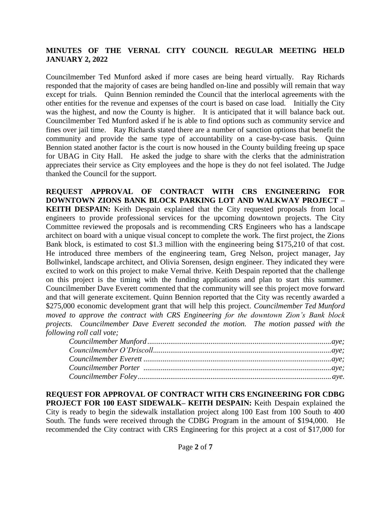Councilmember Ted Munford asked if more cases are being heard virtually. Ray Richards responded that the majority of cases are being handled on-line and possibly will remain that way except for trials. Quinn Bennion reminded the Council that the interlocal agreements with the other entities for the revenue and expenses of the court is based on case load. Initially the City was the highest, and now the County is higher. It is anticipated that it will balance back out. Councilmember Ted Munford asked if he is able to find options such as community service and fines over jail time. Ray Richards stated there are a number of sanction options that benefit the community and provide the same type of accountability on a case-by-case basis. Quinn Bennion stated another factor is the court is now housed in the County building freeing up space for UBAG in City Hall. He asked the judge to share with the clerks that the administration appreciates their service as City employees and the hope is they do not feel isolated. The Judge thanked the Council for the support.

**REQUEST APPROVAL OF CONTRACT WITH CRS ENGINEERING FOR DOWNTOWN ZIONS BANK BLOCK PARKING LOT AND WALKWAY PROJECT – KEITH DESPAIN:** Keith Despain explained that the City requested proposals from local engineers to provide professional services for the upcoming downtown projects. The City Committee reviewed the proposals and is recommending CRS Engineers who has a landscape architect on board with a unique visual concept to complete the work. The first project, the Zions Bank block, is estimated to cost \$1.3 million with the engineering being \$175,210 of that cost. He introduced three members of the engineering team, Greg Nelson, project manager, Jay Bollwinkel, landscape architect, and Olivia Sorensen, design engineer. They indicated they were excited to work on this project to make Vernal thrive. Keith Despain reported that the challenge on this project is the timing with the funding applications and plan to start this summer. Councilmember Dave Everett commented that the community will see this project move forward and that will generate excitement. Quinn Bennion reported that the City was recently awarded a \$275,000 economic development grant that will help this project. *Councilmember Ted Munford moved to approve the contract with CRS Engineering for the downtown Zion's Bank block projects. Councilmember Dave Everett seconded the motion. The motion passed with the following roll call vote;* 

**REQUEST FOR APPROVAL OF CONTRACT WITH CRS ENGINEERING FOR CDBG PROJECT FOR 100 EAST SIDEWALK– KEITH DESPAIN:** Keith Despain explained the City is ready to begin the sidewalk installation project along 100 East from 100 South to 400 South. The funds were received through the CDBG Program in the amount of \$194,000. He recommended the City contract with CRS Engineering for this project at a cost of \$17,000 for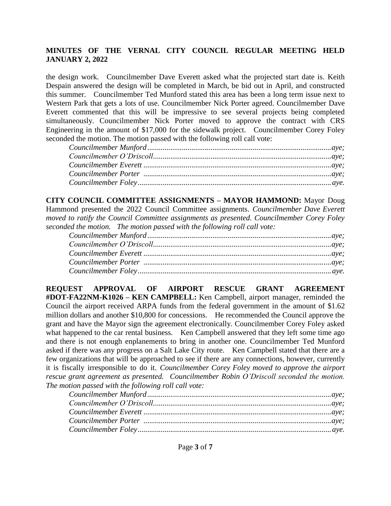the design work. Councilmember Dave Everett asked what the projected start date is. Keith Despain answered the design will be completed in March, be bid out in April, and constructed this summer. Councilmember Ted Munford stated this area has been a long term issue next to Western Park that gets a lots of use. Councilmember Nick Porter agreed. Councilmember Dave Everett commented that this will be impressive to see several projects being completed simultaneously. Councilmember Nick Porter moved to approve the contract with CRS Engineering in the amount of \$17,000 for the sidewalk project. Councilmember Corey Foley seconded the motion. The motion passed with the following roll call vote:

**CITY COUNCIL COMMITTEE ASSIGNMENTS – MAYOR HAMMOND:** Mayor Doug Hammond presented the 2022 Council Committee assignments. *Councilmember Dave Everett moved to ratify the Council Committee assignments as presented. Councilmember Corey Foley seconded the motion. The motion passed with the following roll call vote:*

**REQUEST APPROVAL OF AIRPORT RESCUE GRANT AGREEMENT #DOT-FA22NM-K1026 – KEN CAMPBELL:** Ken Campbell, airport manager, reminded the Council the airport received ARPA funds from the federal government in the amount of \$1.62 million dollars and another \$10,800 for concessions. He recommended the Council approve the grant and have the Mayor sign the agreement electronically. Councilmember Corey Foley asked what happened to the car rental business. Ken Campbell answered that they left some time ago and there is not enough enplanements to bring in another one. Councilmember Ted Munford asked if there was any progress on a Salt Lake City route. Ken Campbell stated that there are a few organizations that will be approached to see if there are any connections, however, currently it is fiscally irresponsible to do it. *Councilmember Corey Foley moved to approve the airport rescue grant agreement as presented. Councilmember Robin O'Driscoll seconded the motion. The motion passed with the following roll call vote:*

| ${C} \label{C} \emph{c} \emph{c} \emph{u} \emph{m} \emph{c} \emph{e} \emph{r} \emph{M} \emph{u} \emph{r} \emph{f} \emph{c} \emph{d} \emph{u} \emph{a} \emph{u} \emph{c} \emph{c} \emph{u} \emph{c} \emph{u} \emph{c} \emph{u} \emph{e} \emph{c} \emph{u} \emph{e} \emph{f} \emph{u} \emph{e} \emph{f} \emph{u} \emph{f} \emph{f} \emph{u} \em$ |  |
|------------------------------------------------------------------------------------------------------------------------------------------------------------------------------------------------------------------------------------------------------------------------------------------------------------------------------------------------|--|
|                                                                                                                                                                                                                                                                                                                                                |  |
|                                                                                                                                                                                                                                                                                                                                                |  |
|                                                                                                                                                                                                                                                                                                                                                |  |
|                                                                                                                                                                                                                                                                                                                                                |  |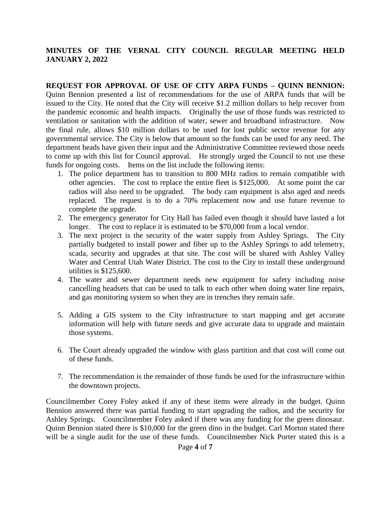#### **REQUEST FOR APPROVAL OF USE OF CITY ARPA FUNDS – QUINN BENNION:**  Quinn Bennion presented a list of recommendations for the use of ARPA funds that will be issued to the City. He noted that the City will receive \$1.2 million dollars to help recover from the pandemic economic and health impacts. Originally the use of those funds was restricted to ventilation or sanitation with the addition of water, sewer and broadband infrastructure. Now the final rule, allows \$10 million dollars to be used for lost public sector revenue for any governmental service. The City is below that amount so the funds can be used for any need. The department heads have given their input and the Administrative Committee reviewed those needs to come up with this list for Council approval. He strongly urged the Council to not use these funds for ongoing costs. Items on the list include the following items:

- 1. The police department has to transition to 800 MHz radios to remain compatible with other agencies. The cost to replace the entire fleet is \$125,000. At some point the car radios will also need to be upgraded. The body cam equipment is also aged and needs replaced. The request is to do a 70% replacement now and use future revenue to complete the upgrade.
- 2. The emergency generator for City Hall has failed even though it should have lasted a lot longer. The cost to replace it is estimated to be \$70,000 from a local vendor.
- 3. The next project is the security of the water supply from Ashley Springs. The City partially budgeted to install power and fiber up to the Ashley Springs to add telemetry, scada, security and upgrades at that site. The cost will be shared with Ashley Valley Water and Central Utah Water District. The cost to the City to install these underground utilities is \$125,600.
- 4. The water and sewer department needs new equipment for safety including noise cancelling headsets that can be used to talk to each other when doing water line repairs, and gas monitoring system so when they are in trenches they remain safe.
- 5. Adding a GIS system to the City infrastructure to start mapping and get accurate information will help with future needs and give accurate data to upgrade and maintain those systems.
- 6. The Court already upgraded the window with glass partition and that cost will come out of these funds.
- 7. The recommendation is the remainder of those funds be used for the infrastructure within the downtown projects.

Councilmember Corey Foley asked if any of these items were already in the budget. Quinn Bennion answered there was partial funding to start upgrading the radios, and the security for Ashley Springs. Councilmember Foley asked if there was any funding for the green dinosaur. Quinn Bennion stated there is \$10,000 for the green dino in the budget. Carl Morton stated there will be a single audit for the use of these funds. Councilmember Nick Porter stated this is a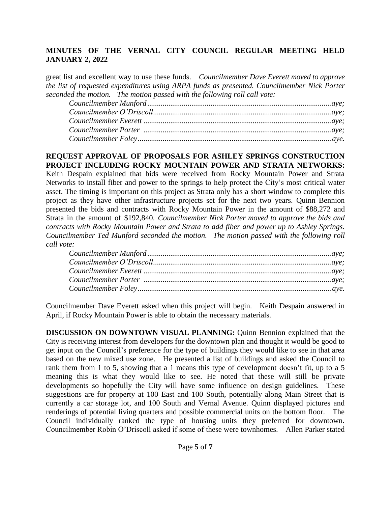great list and excellent way to use these funds. *Councilmember Dave Everett moved to approve the list of requested expenditures using ARPA funds as presented. Councilmember Nick Porter seconded the motion. The motion passed with the following roll call vote:*

### **REQUEST APPROVAL OF PROPOSALS FOR ASHLEY SPRINGS CONSTRUCTION PROJECT INCLUDING ROCKY MOUNTAIN POWER AND STRATA NETWORKS:**

Keith Despain explained that bids were received from Rocky Mountain Power and Strata Networks to install fiber and power to the springs to help protect the City's most critical water asset. The timing is important on this project as Strata only has a short window to complete this project as they have other infrastructure projects set for the next two years. Quinn Bennion presented the bids and contracts with Rocky Mountain Power in the amount of \$88,272 and Strata in the amount of \$192,840. *Councilmember Nick Porter moved to approve the bids and contracts with Rocky Mountain Power and Strata to add fiber and power up to Ashley Springs. Councilmember Ted Munford seconded the motion. The motion passed with the following roll call vote:*

Councilmember Dave Everett asked when this project will begin. Keith Despain answered in April, if Rocky Mountain Power is able to obtain the necessary materials.

**DISCUSSION ON DOWNTOWN VISUAL PLANNING:** Quinn Bennion explained that the City is receiving interest from developers for the downtown plan and thought it would be good to get input on the Council's preference for the type of buildings they would like to see in that area based on the new mixed use zone. He presented a list of buildings and asked the Council to rank them from 1 to 5, showing that a 1 means this type of development doesn't fit, up to a 5 meaning this is what they would like to see. He noted that these will still be private developments so hopefully the City will have some influence on design guidelines. These suggestions are for property at 100 East and 100 South, potentially along Main Street that is currently a car storage lot, and 100 South and Vernal Avenue. Quinn displayed pictures and renderings of potential living quarters and possible commercial units on the bottom floor. The Council individually ranked the type of housing units they preferred for downtown. Councilmember Robin O'Driscoll asked if some of these were townhomes. Allen Parker stated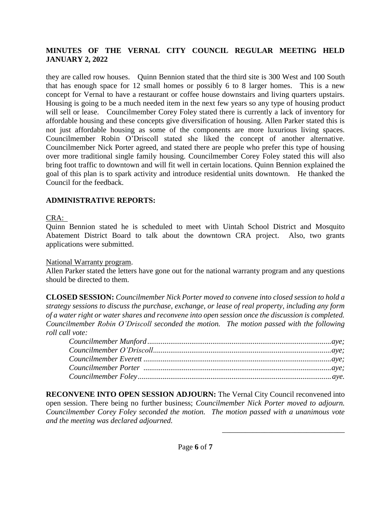they are called row houses. Quinn Bennion stated that the third site is 300 West and 100 South that has enough space for 12 small homes or possibly 6 to 8 larger homes. This is a new concept for Vernal to have a restaurant or coffee house downstairs and living quarters upstairs. Housing is going to be a much needed item in the next few years so any type of housing product will sell or lease. Councilmember Corey Foley stated there is currently a lack of inventory for affordable housing and these concepts give diversification of housing. Allen Parker stated this is not just affordable housing as some of the components are more luxurious living spaces. Councilmember Robin O'Driscoll stated she liked the concept of another alternative. Councilmember Nick Porter agreed, and stated there are people who prefer this type of housing over more traditional single family housing. Councilmember Corey Foley stated this will also bring foot traffic to downtown and will fit well in certain locations. Quinn Bennion explained the goal of this plan is to spark activity and introduce residential units downtown. He thanked the Council for the feedback.

# **ADMINISTRATIVE REPORTS:**

# CRA:

Quinn Bennion stated he is scheduled to meet with Uintah School District and Mosquito Abatement District Board to talk about the downtown CRA project. Also, two grants applications were submitted.

# National Warranty program.

Allen Parker stated the letters have gone out for the national warranty program and any questions should be directed to them.

**CLOSED SESSION:** *Councilmember Nick Porter moved to convene into closed session to hold a strategy sessions to discuss the purchase, exchange, or lease of real property, including any form of a water right or water shares and reconvene into open session once the discussion is completed. Councilmember Robin O'Driscoll seconded the motion. The motion passed with the following roll call vote:*

**RECONVENE INTO OPEN SESSION ADJOURN:** The Vernal City Council reconvened into open session. There being no further business; *Councilmember Nick Porter moved to adjourn. Councilmember Corey Foley seconded the motion. The motion passed with a unanimous vote and the meeting was declared adjourned.* 

\_\_\_\_\_\_\_\_\_\_\_\_\_\_\_\_\_\_\_\_\_\_\_\_\_\_\_\_\_\_\_\_